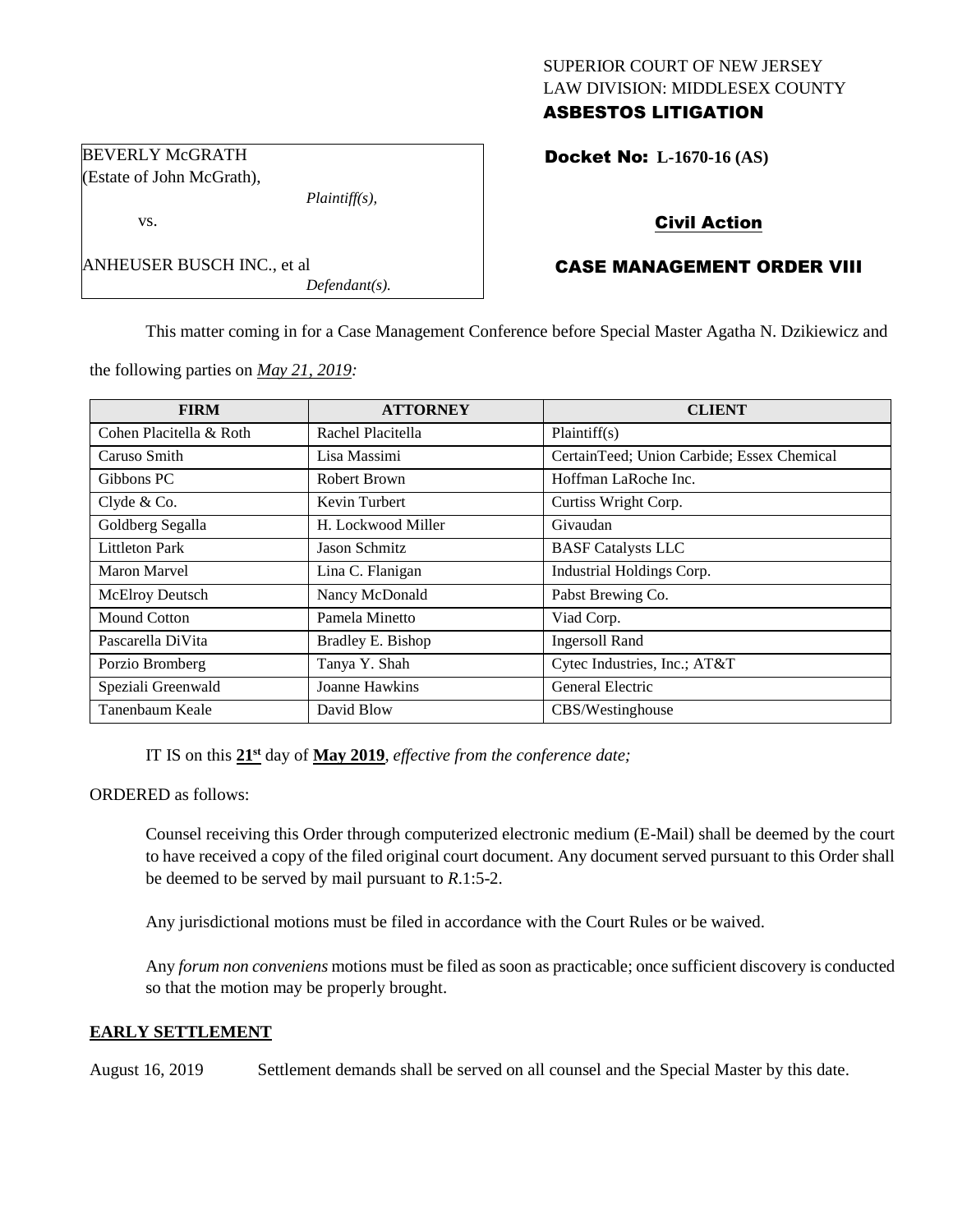## SUPERIOR COURT OF NEW JERSEY LAW DIVISION: MIDDLESEX COUNTY ASBESTOS LITIGATION

Docket No: **L-1670-16 (AS)** 

# Civil Action

# CASE MANAGEMENT ORDER VIII

This matter coming in for a Case Management Conference before Special Master Agatha N. Dzikiewicz and

the following parties on *May 21, 2019:*

*Plaintiff(s),*

*Defendant(s).*

| <b>FIRM</b>             | <b>ATTORNEY</b>    | <b>CLIENT</b>                              |
|-------------------------|--------------------|--------------------------------------------|
| Cohen Placitella & Roth | Rachel Placitella  | Plaintiff(s)                               |
| Caruso Smith            | Lisa Massimi       | CertainTeed; Union Carbide; Essex Chemical |
| Gibbons PC              | Robert Brown       | Hoffman LaRoche Inc.                       |
| Clyde & Co.             | Kevin Turbert      | Curtiss Wright Corp.                       |
| Goldberg Segalla        | H. Lockwood Miller | Givaudan                                   |
| <b>Littleton Park</b>   | Jason Schmitz      | <b>BASF Catalysts LLC</b>                  |
| Maron Marvel            | Lina C. Flanigan   | Industrial Holdings Corp.                  |
| McElroy Deutsch         | Nancy McDonald     | Pabst Brewing Co.                          |
| Mound Cotton            | Pamela Minetto     | Viad Corp.                                 |
| Pascarella DiVita       | Bradley E. Bishop  | <b>Ingersoll Rand</b>                      |
| Porzio Bromberg         | Tanya Y. Shah      | Cytec Industries, Inc.; AT&T               |
| Speziali Greenwald      | Joanne Hawkins     | General Electric                           |
| Tanenbaum Keale         | David Blow         | CBS/Westinghouse                           |

IT IS on this  $21<sup>st</sup>$  day of May 2019, *effective from the conference date*;

ORDERED as follows:

Counsel receiving this Order through computerized electronic medium (E-Mail) shall be deemed by the court to have received a copy of the filed original court document. Any document served pursuant to this Order shall be deemed to be served by mail pursuant to *R*.1:5-2.

Any jurisdictional motions must be filed in accordance with the Court Rules or be waived.

Any *forum non conveniens* motions must be filed as soon as practicable; once sufficient discovery is conducted so that the motion may be properly brought.

## **EARLY SETTLEMENT**

August 16, 2019 Settlement demands shall be served on all counsel and the Special Master by this date.

BEVERLY McGRATH (Estate of John McGrath),

ANHEUSER BUSCH INC., et al

vs.